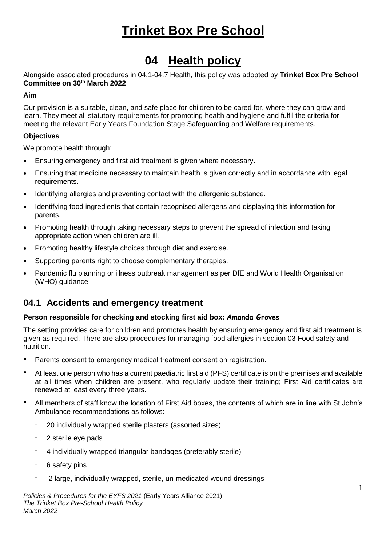## **04 Health policy**

Alongside associated procedures in 04.1-04.7 Health, this policy was adopted by **Trinket Box Pre School Committee on 30th March 2022**

## **Aim**

Our provision is a suitable, clean, and safe place for children to be cared for, where they can grow and learn. They meet all statutory requirements for promoting health and hygiene and fulfil the criteria for meeting the relevant Early Years Foundation Stage Safeguarding and Welfare requirements.

## **Objectives**

We promote health through:

- Ensuring emergency and first aid treatment is given where necessary.
- Ensuring that medicine necessary to maintain health is given correctly and in accordance with legal requirements.
- Identifying allergies and preventing contact with the allergenic substance.
- Identifying food ingredients that contain recognised allergens and displaying this information for parents.
- Promoting health through taking necessary steps to prevent the spread of infection and taking appropriate action when children are ill.
- Promoting healthy lifestyle choices through diet and exercise.
- Supporting parents right to choose complementary therapies.
- Pandemic flu planning or illness outbreak management as per DfE and World Health Organisation (WHO) quidance.

## **04.1 Accidents and emergency treatment**

## **Person responsible for checking and stocking first aid box: Amanda Groves**

The setting provides care for children and promotes health by ensuring emergency and first aid treatment is given as required. There are also procedures for managing food allergies in section 03 Food safety and nutrition.

- Parents consent to emergency medical treatment consent on registration.
- At least one person who has a current paediatric first aid (PFS) certificate is on the premises and available at all times when children are present, who regularly update their training; First Aid certificates are renewed at least every three years.
- All members of staff know the location of First Aid boxes, the contents of which are in line with St John's Ambulance recommendations as follows:
	- 20 individually wrapped sterile plasters (assorted sizes)
	- 2 sterile eye pads
	- 4 individually wrapped triangular bandages (preferably sterile)
	- 6 safety pins
	- 2 large, individually wrapped, sterile, un-medicated wound dressings

*Policies & Procedures for the EYFS 2021* (Early Years Alliance 2021) *The Trinket Box Pre-School Health Policy March 2022*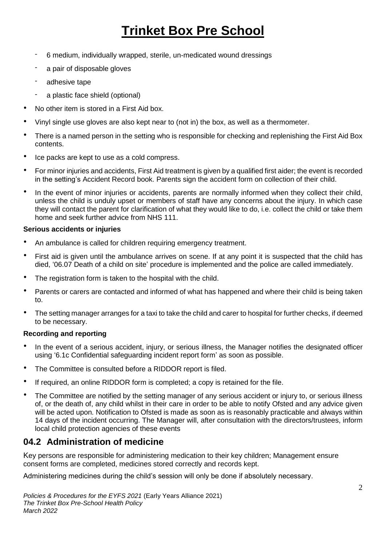- 6 medium, individually wrapped, sterile, un-medicated wound dressings
- a pair of disposable gloves
- adhesive tape
- a plastic face shield (optional)
- No other item is stored in a First Aid box.
- Vinyl single use gloves are also kept near to (not in) the box, as well as a thermometer.
- There is a named person in the setting who is responsible for checking and replenishing the First Aid Box contents.
- Ice packs are kept to use as a cold compress.
- For minor injuries and accidents, First Aid treatment is given by a qualified first aider; the event is recorded in the setting's Accident Record book. Parents sign the accident form on collection of their child.
- In the event of minor injuries or accidents, parents are normally informed when they collect their child, unless the child is unduly upset or members of staff have any concerns about the injury. In which case they will contact the parent for clarification of what they would like to do, i.e. collect the child or take them home and seek further advice from NHS 111.

## **Serious accidents or injuries**

- An ambulance is called for children requiring emergency treatment.
- First aid is given until the ambulance arrives on scene. If at any point it is suspected that the child has died, '06.07 Death of a child on site' procedure is implemented and the police are called immediately.
- The registration form is taken to the hospital with the child.
- Parents or carers are contacted and informed of what has happened and where their child is being taken to.
- The setting manager arranges for a taxi to take the child and carer to hospital for further checks, if deemed to be necessary.

## **Recording and reporting**

- In the event of a serious accident, injury, or serious illness, the Manager notifies the designated officer using '6.1c Confidential safeguarding incident report form' as soon as possible.
- The Committee is consulted before a RIDDOR report is filed.
- If required, an online RIDDOR form is completed; a copy is retained for the file.
- The Committee are notified by the setting manager of any serious accident or injury to, or serious illness of, or the death of, any child whilst in their care in order to be able to notify Ofsted and any advice given will be acted upon. Notification to Ofsted is made as soon as is reasonably practicable and always within 14 days of the incident occurring. The Manager will, after consultation with the directors/trustees, inform local child protection agencies of these events

## **04.2 Administration of medicine**

Key persons are responsible for administering medication to their key children; Management ensure consent forms are completed, medicines stored correctly and records kept.

Administering medicines during the child's session will only be done if absolutely necessary.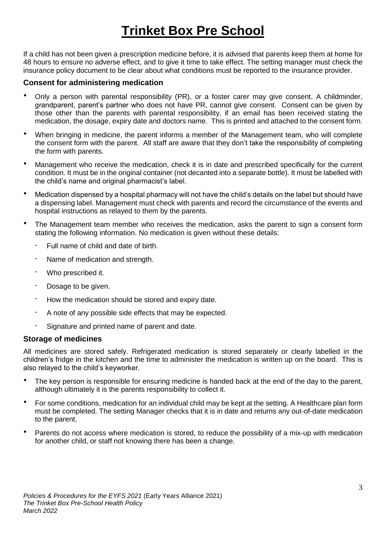If a child has not been given a prescription medicine before, it is advised that parents keep them at home for 48 hours to ensure no adverse effect, and to give it time to take effect. The setting manager must check the insurance policy document to be clear about what conditions must be reported to the insurance provider.

## **Consent for administering medication**

- Only a person with parental responsibility (PR), or a foster carer may give consent. A childminder, grandparent, parent's partner who does not have PR, cannot give consent. Consent can be given by those other than the parents with parental responsibility, if an email has been received stating the medication, the dosage, expiry date and doctors name. This is printed and attached to the consent form.
- When bringing in medicine, the parent informs a member of the Management team, who will complete the consent form with the parent. All staff are aware that they don't take the responsibility of completing the form with parents.
- Management who receive the medication, check it is in date and prescribed specifically for the current condition. It must be in the original container (not decanted into a separate bottle). It must be labelled with the child's name and original pharmacist's label.
- Medication dispensed by a hospital pharmacy will not have the child's details on the label but should have a dispensing label. Management must check with parents and record the circumstance of the events and hospital instructions as relayed to them by the parents.
- The Management team member who receives the medication, asks the parent to sign a consent form stating the following information. No medication is given without these details:
	- Full name of child and date of birth.
	- Name of medication and strength.
	- Who prescribed it.
	- Dosage to be given.
	- How the medication should be stored and expiry date.
	- A note of any possible side effects that may be expected.
	- Signature and printed name of parent and date.

## **Storage of medicines**

All medicines are stored safely. Refrigerated medication is stored separately or clearly labelled in the children's fridge in the kitchen and the time to administer the medication is written up on the board. This is also relayed to the child's keyworker.

- The key person is responsible for ensuring medicine is handed back at the end of the day to the parent, although ultimately it is the parents responsibility to collect it.
- For some conditions, medication for an individual child may be kept at the setting. A Healthcare plan form must be completed. The setting Manager checks that it is in date and returns any out-of-date medication to the parent.
- Parents do not access where medication is stored, to reduce the possibility of a mix-up with medication for another child, or staff not knowing there has been a change.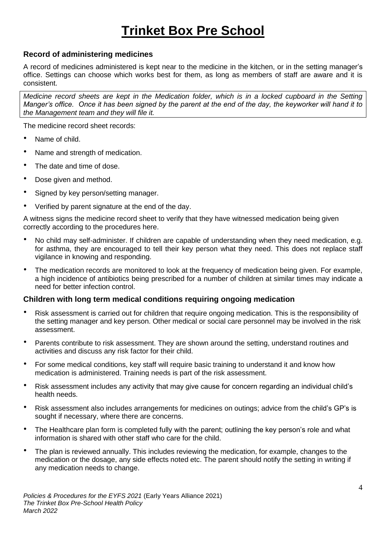## **Record of administering medicines**

A record of medicines administered is kept near to the medicine in the kitchen, or in the setting manager's office. Settings can choose which works best for them, as long as members of staff are aware and it is consistent.

*Medicine record sheets are kept in the Medication folder, which is in a locked cupboard in the Setting Manger's office. Once it has been signed by the parent at the end of the day, the keyworker will hand it to the Management team and they will file it.* 

The medicine record sheet records:

- Name of child.
- Name and strength of medication.
- The date and time of dose.
- Dose given and method.
- Signed by key person/setting manager.
- Verified by parent signature at the end of the day.

A witness signs the medicine record sheet to verify that they have witnessed medication being given correctly according to the procedures here.

- No child may self-administer. If children are capable of understanding when they need medication, e.g. for asthma, they are encouraged to tell their key person what they need. This does not replace staff vigilance in knowing and responding.
- The medication records are monitored to look at the frequency of medication being given. For example, a high incidence of antibiotics being prescribed for a number of children at similar times may indicate a need for better infection control.

## **Children with long term medical conditions requiring ongoing medication**

- Risk assessment is carried out for children that require ongoing medication. This is the responsibility of the setting manager and key person. Other medical or social care personnel may be involved in the risk assessment.
- Parents contribute to risk assessment. They are shown around the setting, understand routines and activities and discuss any risk factor for their child.
- For some medical conditions, key staff will require basic training to understand it and know how medication is administered. Training needs is part of the risk assessment.
- Risk assessment includes any activity that may give cause for concern regarding an individual child's health needs.
- Risk assessment also includes arrangements for medicines on outings; advice from the child's GP's is sought if necessary, where there are concerns.
- The Healthcare plan form is completed fully with the parent; outlining the key person's role and what information is shared with other staff who care for the child.
- The plan is reviewed annually. This includes reviewing the medication, for example, changes to the medication or the dosage, any side effects noted etc. The parent should notify the setting in writing if any medication needs to change.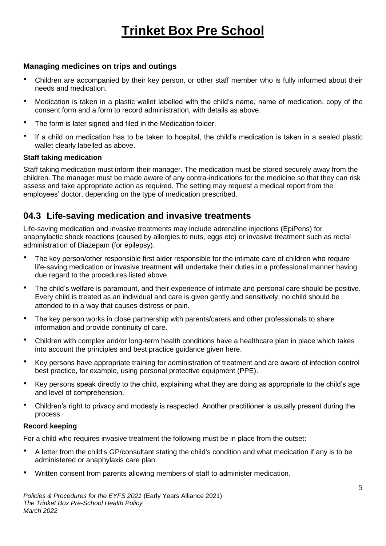## **Managing medicines on trips and outings**

- Children are accompanied by their key person, or other staff member who is fully informed about their needs and medication.
- Medication is taken in a plastic wallet labelled with the child's name, name of medication, copy of the consent form and a form to record administration, with details as above.
- The form is later signed and filed in the Medication folder.
- If a child on medication has to be taken to hospital, the child's medication is taken in a sealed plastic wallet clearly labelled as above.

#### **Staff taking medication**

Staff taking medication must inform their manager. The medication must be stored securely away from the children. The manager must be made aware of any contra-indications for the medicine so that they can risk assess and take appropriate action as required. The setting may request a medical report from the employees' doctor, depending on the type of medication prescribed.

## **04.3 Life-saving medication and invasive treatments**

Life-saving medication and invasive treatments may include adrenaline injections (EpiPens) for anaphylactic shock reactions (caused by allergies to nuts, eggs etc) or invasive treatment such as rectal administration of Diazepam (for epilepsy).

- The key person/other responsible first aider responsible for the intimate care of children who require life-saving medication or invasive treatment will undertake their duties in a professional manner having due regard to the procedures listed above.
- The child's welfare is paramount, and their experience of intimate and personal care should be positive. Every child is treated as an individual and care is given gently and sensitively; no child should be attended to in a way that causes distress or pain.
- The key person works in close partnership with parents/carers and other professionals to share information and provide continuity of care.
- Children with complex and/or long-term health conditions have a healthcare plan in place which takes into account the principles and best practice guidance given here.
- Key persons have appropriate training for administration of treatment and are aware of infection control best practice, for example, using personal protective equipment (PPE).
- Key persons speak directly to the child, explaining what they are doing as appropriate to the child's age and level of comprehension.
- Children's right to privacy and modesty is respected. Another practitioner is usually present during the process.

## **Record keeping**

For a child who requires invasive treatment the following must be in place from the outset:

- A letter from the child's GP/consultant stating the child's condition and what medication if any is to be administered or anaphylaxis care plan.
- Written consent from parents allowing members of staff to administer medication.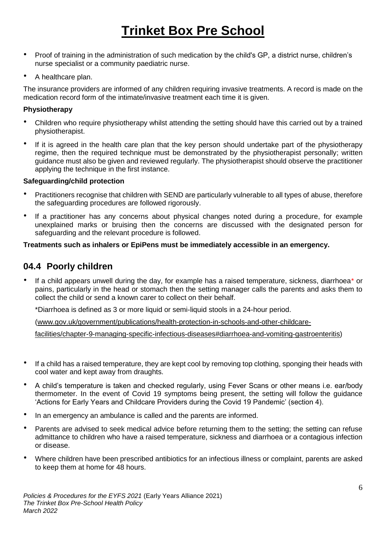- Proof of training in the administration of such medication by the child's GP, a district nurse, children's nurse specialist or a community paediatric nurse.
- A healthcare plan.

The insurance providers are informed of any children requiring invasive treatments. A record is made on the medication record form of the intimate/invasive treatment each time it is given.

## **Physiotherapy**

- Children who require physiotherapy whilst attending the setting should have this carried out by a trained physiotherapist.
- If it is agreed in the health care plan that the key person should undertake part of the physiotherapy regime, then the required technique must be demonstrated by the physiotherapist personally; written guidance must also be given and reviewed regularly. The physiotherapist should observe the practitioner applying the technique in the first instance.

## **Safeguarding/child protection**

- Practitioners recognise that children with SEND are particularly vulnerable to all types of abuse, therefore the safeguarding procedures are followed rigorously.
- If a practitioner has any concerns about physical changes noted during a procedure, for example unexplained marks or bruising then the concerns are discussed with the designated person for safeguarding and the relevant procedure is followed.

## **Treatments such as inhalers or EpiPens must be immediately accessible in an emergency.**

## **04.4 Poorly children**

If a child appears unwell during the day, for example has a raised temperature, sickness, diarrhoea\* or pains, particularly in the head or stomach then the setting manager calls the parents and asks them to collect the child or send a known carer to collect on their behalf.

\*Diarrhoea is defined as 3 or more liquid or semi-liquid stools in a 24-hour period.

[\(www.gov.uk/government/publications/health-protection-in-schools-and-other-childcare-](http://www.gov.uk/government/publications/health-protection-in-schools-and-other-childcare-facilities/chapter-9-managing-specific-infectious-diseases#diarrhoea-and-vomiting-gastroenteritis)

[facilities/chapter-9-managing-specific-infectious-diseases#diarrhoea-and-vomiting-gastroenteritis\)](http://www.gov.uk/government/publications/health-protection-in-schools-and-other-childcare-facilities/chapter-9-managing-specific-infectious-diseases#diarrhoea-and-vomiting-gastroenteritis)

- If a child has a raised temperature, they are kept cool by removing top clothing, sponging their heads with cool water and kept away from draughts.
- A child's temperature is taken and checked regularly, using Fever Scans or other means i.e. ear/body thermometer. In the event of Covid 19 symptoms being present, the setting will follow the guidance 'Actions for Early Years and Childcare Providers during the Covid 19 Pandemic' (section 4).
- In an emergency an ambulance is called and the parents are informed.
- Parents are advised to seek medical advice before returning them to the setting; the setting can refuse admittance to children who have a raised temperature, sickness and diarrhoea or a contagious infection or disease.
- Where children have been prescribed antibiotics for an infectious illness or complaint, parents are asked to keep them at home for 48 hours.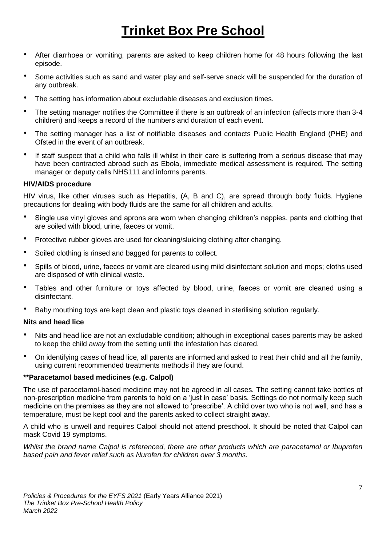- After diarrhoea or vomiting, parents are asked to keep children home for 48 hours following the last episode.
- Some activities such as sand and water play and self-serve snack will be suspended for the duration of any outbreak.
- The setting has information about excludable diseases and exclusion times.
- The setting manager notifies the Committee if there is an outbreak of an infection (affects more than 3-4 children) and keeps a record of the numbers and duration of each event.
- The setting manager has a list of notifiable diseases and contacts Public Health England (PHE) and Ofsted in the event of an outbreak.
- If staff suspect that a child who falls ill whilst in their care is suffering from a serious disease that may have been contracted abroad such as Ebola, immediate medical assessment is required. The setting manager or deputy calls NHS111 and informs parents.

## **HIV/AIDS procedure**

HIV virus, like other viruses such as Hepatitis, (A, B and C), are spread through body fluids. Hygiene precautions for dealing with body fluids are the same for all children and adults.

- Single use vinyl gloves and aprons are worn when changing children's nappies, pants and clothing that are soiled with blood, urine, faeces or vomit.
- Protective rubber gloves are used for cleaning/sluicing clothing after changing.
- Soiled clothing is rinsed and bagged for parents to collect.
- Spills of blood, urine, faeces or vomit are cleared using mild disinfectant solution and mops; cloths used are disposed of with clinical waste.
- Tables and other furniture or toys affected by blood, urine, faeces or vomit are cleaned using a disinfectant.
- Baby mouthing toys are kept clean and plastic toys cleaned in sterilising solution regularly.

## **Nits and head lice**

- Nits and head lice are not an excludable condition; although in exceptional cases parents may be asked to keep the child away from the setting until the infestation has cleared.
- On identifying cases of head lice, all parents are informed and asked to treat their child and all the family, using current recommended treatments methods if they are found.

## **\*\*Paracetamol based medicines (e.g. Calpol)**

The use of paracetamol-based medicine may not be agreed in all cases. The setting cannot take bottles of non-prescription medicine from parents to hold on a 'just in case' basis. Settings do not normally keep such medicine on the premises as they are not allowed to 'prescribe'. A child over two who is not well, and has a temperature, must be kept cool and the parents asked to collect straight away.

A child who is unwell and requires Calpol should not attend preschool. It should be noted that Calpol can mask Covid 19 symptoms.

*Whilst the brand name Calpol is referenced, there are other products which are paracetamol or Ibuprofen based pain and fever relief such as Nurofen for children over 3 months.*